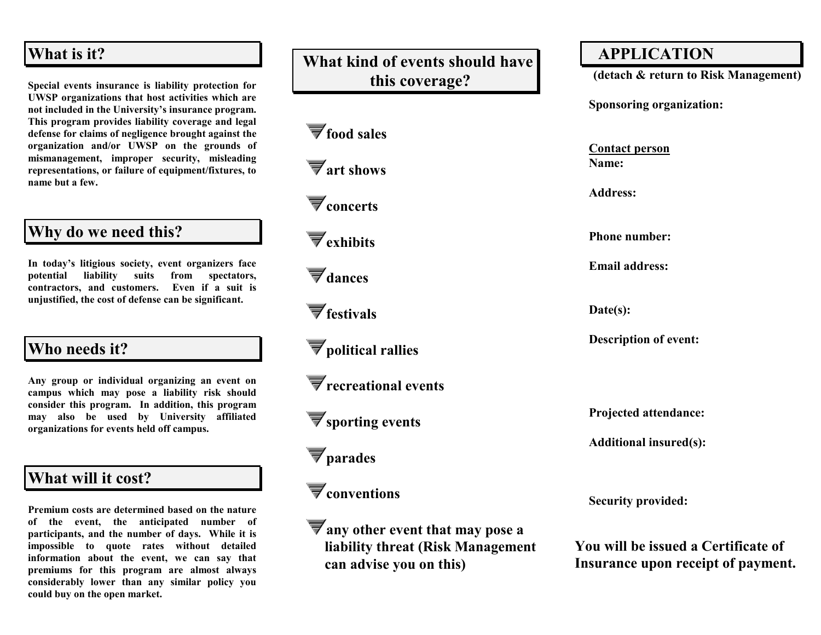## **What is it?**

**Special events insurance is liability protection for UWSP organizations that host activities which are not included in the University's insurance program. This program provides liability coverage and legal defense for claims of negligence brought against the organization and/or UWSP on the grounds of mismanagement, improper security, misleading representations, or failure of equipment/fixtures, to name but a few.**

## **Why do we need this?**

**In today's litigious society, event organizers face potential liability suits from spectators, contractors, and customers. Even if a suit is unjustified, the cost of defense can be significant.** 

# **Who needs it?**

**Any group or individual organizing an event on campus which may pose a liability risk should consider this program. In addition, this program may also be used by University affiliated organizations for events held off campus.**

# **What will it cost?**

**Premium costs are determined based on the nature of the event, the anticipated number of participants, and the number of days. While it is impossible to quote rates without detailed information about the event, we can say that premiums for this program are almost always considerably lower than any similar policy you could buy on the open market.**

# **What kind of events should have this coverage?**

**food sales** 

**art shows**

**concerts**

**exhibits**

 $\blacktriangledown$ <sub>dances</sub>

**festivals**

**political rallies**

**recreational events**

**sporting events**

**parades**

**conventions**

**any other event that may pose a liability threat (Risk Management can advise you on this)**

## **APPLICATION**

 **(detach & return to Risk Management)** 

**Sponsoring organization:**

**Contact person Name:**

**Address:**

**Phone number:**

**Email address:**

**Date(s):**

**Description of event:**

**Projected attendance:**

**Additional insured(s):**

**Security provided:**

**You will be issued a Certificate of Insurance upon receipt of payment.**